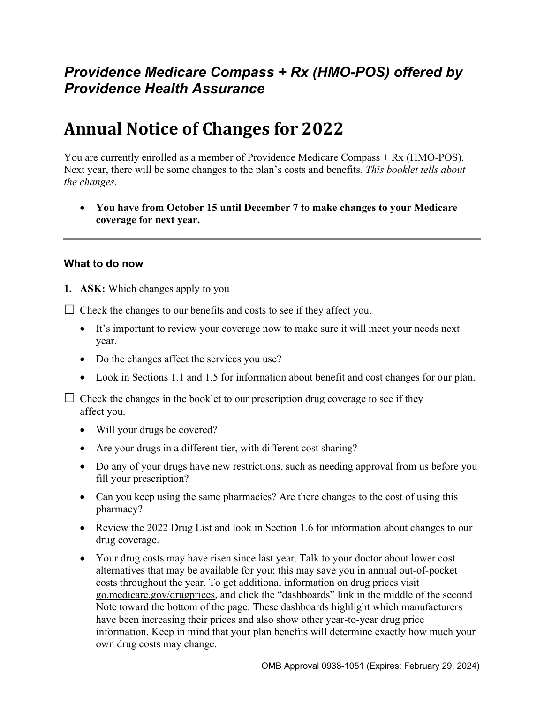# *Providence Medicare Compass + Rx (HMO-POS) offered by Providence Health Assurance*

# **Annual Notice of Changes for 2022**

You are currently enrolled as a member of Providence Medicare Compass + Rx (HMO-POS). Next year, there will be some changes to the plan's costs and benefits*. This booklet tells about the changes.* 

 **You have from October 15 until December 7 to make changes to your Medicare coverage for next year.** 

#### **What to do now**

**1. ASK:** Which changes apply to you

 $\Box$  Check the changes to our benefits and costs to see if they affect you.

- It's important to review your coverage now to make sure it will meet your needs next year.
- Do the changes affect the services you use?
- Look in Sections 1.1 and 1.5 for information about benefit and cost changes for our plan.

 $\Box$  Check the changes in the booklet to our prescription drug coverage to see if they affect you.

- Will your drugs be covered?
- Are your drugs in a different tier, with different cost sharing?
- Do any of your drugs have new restrictions, such as needing approval from us before you fill your prescription?
- Can you keep using the same pharmacies? Are there changes to the cost of using this pharmacy?
- Review the 2022 Drug List and look in Section 1.6 for information about changes to our drug coverage.
- Your drug costs may have risen since last year. Talk to your doctor about lower cost alternatives that may be available for you; this may save you in annual out-of-pocket costs throughout the year. To get additional information on drug prices visit [go.medicare.gov/drugprices,](https://go.medicare.gov/drugprices) and click the "dashboards" link in the middle of the second Note toward the bottom of the page. These dashboards highlight which manufacturers have been increasing their prices and also show other year-to-year drug price information. Keep in mind that your plan benefits will determine exactly how much your own drug costs may change.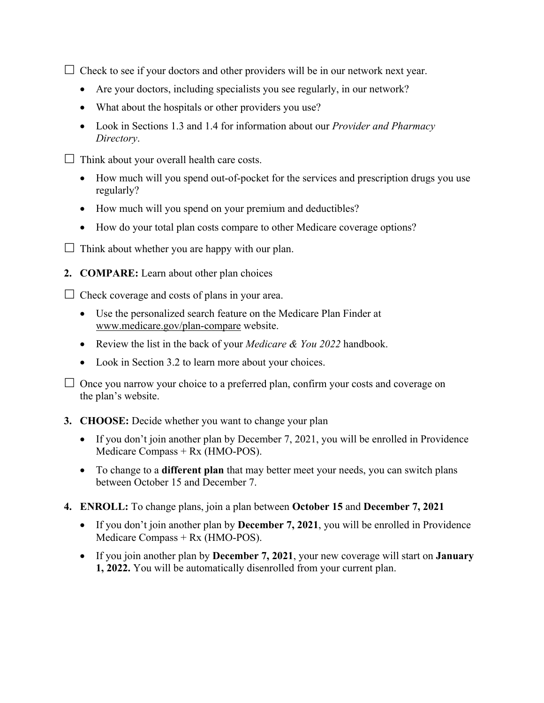$\Box$  Check to see if your doctors and other providers will be in our network next year.

- Are your doctors, including specialists you see regularly, in our network?
- What about the hospitals or other providers you use?
- Look in Sections 1.3 and 1.4 for information about our *Provider and Pharmacy Directory*.
- $\Box$  Think about your overall health care costs.
	- How much will you spend out-of-pocket for the services and prescription drugs you use regularly?
	- How much will you spend on your premium and deductibles?
	- How do your total plan costs compare to other Medicare coverage options?
- $\Box$  Think about whether you are happy with our plan.
- **2. COMPARE:** Learn about other plan choices

 $\Box$  Check coverage and costs of plans in your area.

- Use the personalized search feature on the Medicare Plan Finder at [www.medicare.gov/plan-compare](http://www.medicare.gov/plan-compare) website.
- Review the list in the back of your *Medicare & You 2022* handbook.
- Look in Section 3.2 to learn more about your choices.

 $\Box$  Once you narrow your choice to a preferred plan, confirm your costs and coverage on the plan's website.

- **3. CHOOSE:** Decide whether you want to change your plan
	- If you don't join another plan by December 7, 2021, you will be enrolled in Providence Medicare Compass + Rx (HMO-POS).
	- To change to a **different plan** that may better meet your needs, you can switch plans between October 15 and December 7.
- **4. ENROLL:** To change plans, join a plan between **October 15** and **December 7, 2021** 
	- If you don't join another plan by **December 7, 2021**, you will be enrolled in Providence Medicare Compass + Rx (HMO-POS).
	- If you join another plan by **December 7, 2021**, your new coverage will start on **January 1, 2022.** You will be automatically disenrolled from your current plan.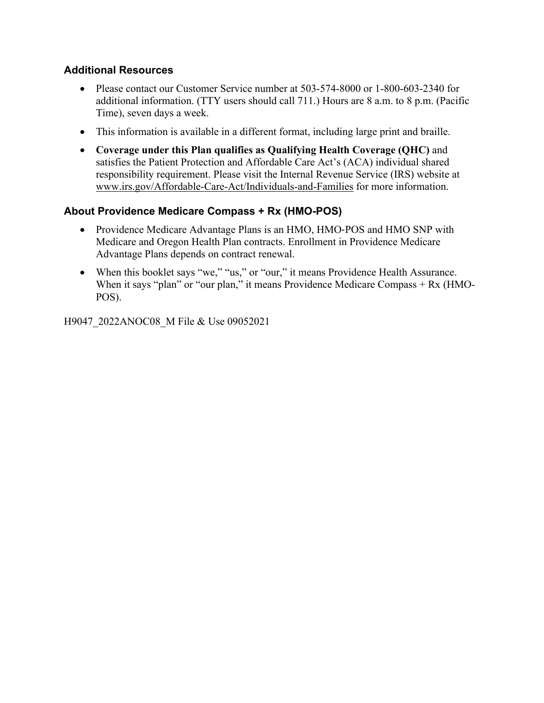### **Additional Resources**

- Please contact our Customer Service number at 503-574-8000 or 1-800-603-2340 for additional information. (TTY users should call 711.) Hours are 8 a.m. to 8 p.m. (Pacific Time), seven days a week.
- This information is available in a different format, including large print and braille.
- **Coverage under this Plan qualifies as Qualifying Health Coverage (QHC)** and satisfies the Patient Protection and Affordable Care Act's (ACA) individual shared responsibility requirement. Please visit the Internal Revenue Service (IRS) website at [www.irs.gov/Affordable-Care-Act/Individuals-and-Families](http://www.irs.gov/Affordable-Care-Act/Individuals-and-Families) for more information.

### **About Providence Medicare Compass + Rx (HMO-POS)**

- Providence Medicare Advantage Plans is an HMO, HMO-POS and HMO SNP with Medicare and Oregon Health Plan contracts. Enrollment in Providence Medicare Advantage Plans depends on contract renewal.
- When this booklet says "we," "us," or "our," it means Providence Health Assurance. When it says "plan" or "our plan," it means Providence Medicare Compass + Rx (HMO-POS).

H9047\_2022ANOC08\_M File & Use 09052021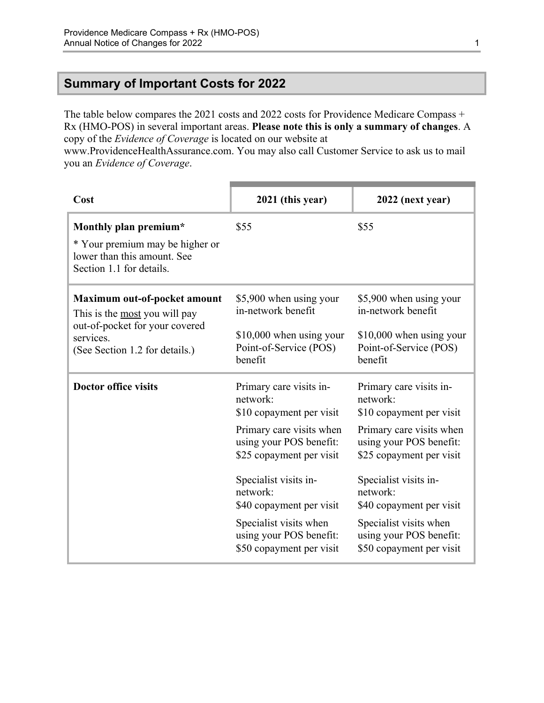# <span id="page-3-0"></span>**Summary of Important Costs for 2022**

The table below compares the 2021 costs and 2022 costs for Providence Medicare Compass + Rx (HMO-POS) in several important areas. **Please note this is only a summary of changes**. A copy of the *Evidence of Coverage* is located on our website at

[www.ProvidenceHealthAssurance.com](http://www.ProvidenceHealthAssurance.com). You may also call Customer Service to ask us to mail you an *Evidence of Coverage*.

| Cost                                                                                                                                           | 2021 (this year)                                                                                                                                                                                                                                                                                     | 2022 (next year)                                                                                                                                                                                                                                                                                     |
|------------------------------------------------------------------------------------------------------------------------------------------------|------------------------------------------------------------------------------------------------------------------------------------------------------------------------------------------------------------------------------------------------------------------------------------------------------|------------------------------------------------------------------------------------------------------------------------------------------------------------------------------------------------------------------------------------------------------------------------------------------------------|
| Monthly plan premium*<br>* Your premium may be higher or<br>lower than this amount. See<br>Section 1.1 for details.                            | \$55                                                                                                                                                                                                                                                                                                 | \$55                                                                                                                                                                                                                                                                                                 |
| Maximum out-of-pocket amount<br>This is the most you will pay<br>out-of-pocket for your covered<br>services.<br>(See Section 1.2 for details.) | \$5,900 when using your<br>in-network benefit<br>$$10,000$ when using your<br>Point-of-Service (POS)<br>benefit                                                                                                                                                                                      | \$5,900 when using your<br>in-network benefit<br>\$10,000 when using your<br>Point-of-Service (POS)<br>benefit                                                                                                                                                                                       |
| <b>Doctor office visits</b>                                                                                                                    | Primary care visits in-<br>network:<br>\$10 copayment per visit<br>Primary care visits when<br>using your POS benefit:<br>\$25 copayment per visit<br>Specialist visits in-<br>network:<br>\$40 copayment per visit<br>Specialist visits when<br>using your POS benefit:<br>\$50 copayment per visit | Primary care visits in-<br>network:<br>\$10 copayment per visit<br>Primary care visits when<br>using your POS benefit:<br>\$25 copayment per visit<br>Specialist visits in-<br>network:<br>\$40 copayment per visit<br>Specialist visits when<br>using your POS benefit:<br>\$50 copayment per visit |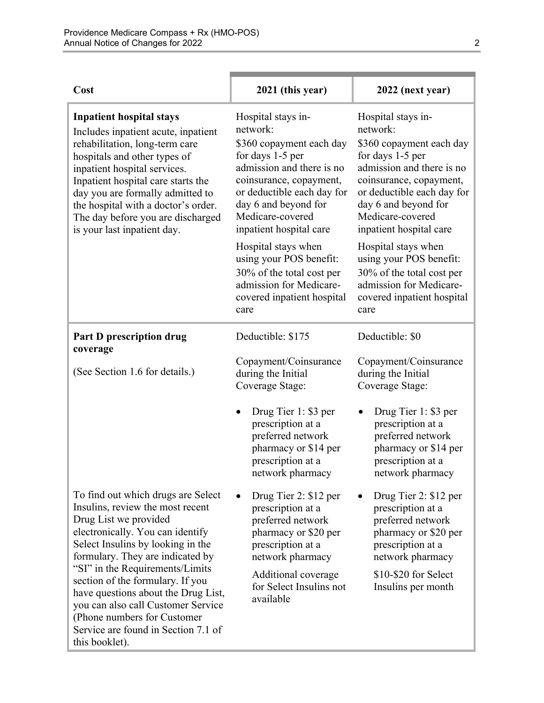| Cost                                                                                                                                                                                                                                                                                                                                                          | 2021 (this year)                                                                                                                                                                                                                            | 2022 (next year)                                                                                                                                                                                                                            |
|---------------------------------------------------------------------------------------------------------------------------------------------------------------------------------------------------------------------------------------------------------------------------------------------------------------------------------------------------------------|---------------------------------------------------------------------------------------------------------------------------------------------------------------------------------------------------------------------------------------------|---------------------------------------------------------------------------------------------------------------------------------------------------------------------------------------------------------------------------------------------|
| <b>Inpatient hospital stays</b><br>Includes inpatient acute, inpatient<br>rehabilitation, long-term care<br>hospitals and other types of<br>inpatient hospital services.<br>Inpatient hospital care starts the<br>day you are formally admitted to<br>the hospital with a doctor's order.<br>The day before you are discharged<br>is your last inpatient day. | Hospital stays in-<br>network:<br>\$360 copayment each day<br>for days 1-5 per<br>admission and there is no<br>coinsurance, copayment,<br>or deductible each day for<br>day 6 and beyond for<br>Medicare-covered<br>inpatient hospital care | Hospital stays in-<br>network:<br>\$360 copayment each day<br>for days 1-5 per<br>admission and there is no<br>coinsurance, copayment,<br>or deductible each day for<br>day 6 and beyond for<br>Medicare-covered<br>inpatient hospital care |
|                                                                                                                                                                                                                                                                                                                                                               | Hospital stays when<br>using your POS benefit:<br>30% of the total cost per<br>admission for Medicare-<br>covered inpatient hospital<br>care                                                                                                | Hospital stays when<br>using your POS benefit:<br>30% of the total cost per<br>admission for Medicare-<br>covered inpatient hospital<br>care                                                                                                |
| <b>Part D prescription drug</b><br>coverage                                                                                                                                                                                                                                                                                                                   | Deductible: \$175                                                                                                                                                                                                                           | Deductible: \$0                                                                                                                                                                                                                             |
| (See Section 1.6 for details.)                                                                                                                                                                                                                                                                                                                                | Copayment/Coinsurance<br>during the Initial<br>Coverage Stage:                                                                                                                                                                              | Copayment/Coinsurance<br>during the Initial<br>Coverage Stage:                                                                                                                                                                              |
|                                                                                                                                                                                                                                                                                                                                                               | Drug Tier 1: \$3 per<br>prescription at a<br>preferred network<br>pharmacy or \$14 per<br>prescription at a<br>network pharmacy                                                                                                             | Drug Tier 1: \$3 per<br>prescription at a<br>preferred network<br>pharmacy or \$14 per<br>prescription at a<br>network pharmacy                                                                                                             |
| To find out which drugs are Select<br>Insulins, review the most recent<br>Drug List we provided<br>electronically. You can identify<br>Select Insulins by looking in the<br>formulary. They are indicated by<br>"SI" in the Requirements/Limits                                                                                                               | Drug Tier 2: \$12 per<br>prescription at a<br>preferred network<br>pharmacy or \$20 per<br>prescription at a<br>network pharmacy                                                                                                            | Drug Tier 2: \$12 per<br>prescription at a<br>preferred network<br>pharmacy or \$20 per<br>prescription at a<br>network pharmacy                                                                                                            |
| section of the formulary. If you<br>have questions about the Drug List,<br>you can also call Customer Service<br>(Phone numbers for Customer)<br>Service are found in Section 7.1 of<br>this booklet).                                                                                                                                                        | Additional coverage<br>for Select Insulins not<br>available                                                                                                                                                                                 | \$10-\$20 for Select<br>Insulins per month                                                                                                                                                                                                  |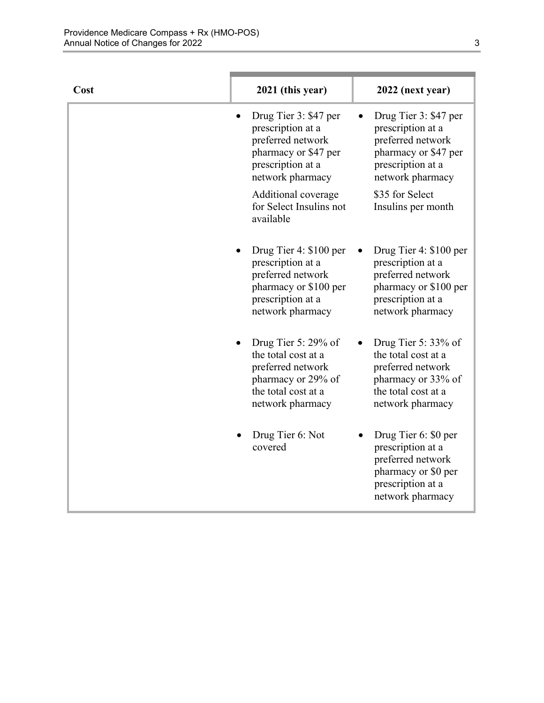| Cost | 2021 (this year)                                                                                                                    | 2022 (next year)                                                                                                                    |
|------|-------------------------------------------------------------------------------------------------------------------------------------|-------------------------------------------------------------------------------------------------------------------------------------|
|      | Drug Tier 3: \$47 per<br>prescription at a<br>preferred network<br>pharmacy or \$47 per<br>prescription at a<br>network pharmacy    | Drug Tier 3: \$47 per<br>prescription at a<br>preferred network<br>pharmacy or \$47 per<br>prescription at a<br>network pharmacy    |
|      | Additional coverage<br>for Select Insulins not<br>available                                                                         | \$35 for Select<br>Insulins per month                                                                                               |
|      | Drug Tier 4: \$100 per<br>prescription at a<br>preferred network<br>pharmacy or \$100 per<br>prescription at a<br>network pharmacy  | Drug Tier 4: \$100 per<br>prescription at a<br>preferred network<br>pharmacy or \$100 per<br>prescription at a<br>network pharmacy  |
|      | Drug Tier 5: $29\%$ of<br>the total cost at a<br>preferred network<br>pharmacy or 29% of<br>the total cost at a<br>network pharmacy | Drug Tier 5: $33\%$ of<br>the total cost at a<br>preferred network<br>pharmacy or 33% of<br>the total cost at a<br>network pharmacy |
|      | Drug Tier 6: Not<br>covered                                                                                                         | Drug Tier 6: \$0 per<br>prescription at a<br>preferred network<br>pharmacy or \$0 per<br>prescription at a<br>network pharmacy      |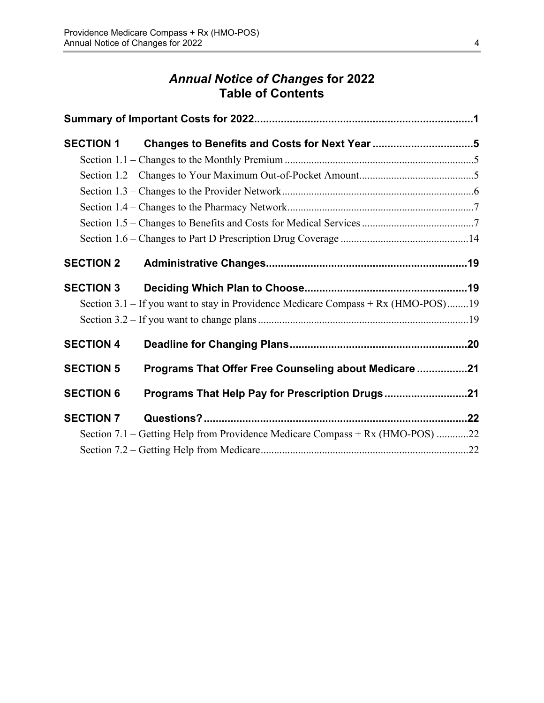# *Annual Notice of Changes* **for 2022 Table of Contents**

| <b>SECTION 1</b> | Changes to Benefits and Costs for Next Year 5                                     |  |
|------------------|-----------------------------------------------------------------------------------|--|
|                  |                                                                                   |  |
|                  |                                                                                   |  |
|                  |                                                                                   |  |
|                  |                                                                                   |  |
|                  |                                                                                   |  |
|                  |                                                                                   |  |
| <b>SECTION 2</b> |                                                                                   |  |
| <b>SECTION 3</b> |                                                                                   |  |
|                  | Section 3.1 – If you want to stay in Providence Medicare Compass + Rx (HMO-POS)19 |  |
|                  |                                                                                   |  |
| <b>SECTION 4</b> |                                                                                   |  |
| <b>SECTION 5</b> | Programs That Offer Free Counseling about Medicare 21                             |  |
| <b>SECTION 6</b> | Programs That Help Pay for Prescription Drugs21                                   |  |
| <b>SECTION 7</b> |                                                                                   |  |
|                  | Section 7.1 – Getting Help from Providence Medicare Compass + Rx (HMO-POS) 22     |  |
|                  |                                                                                   |  |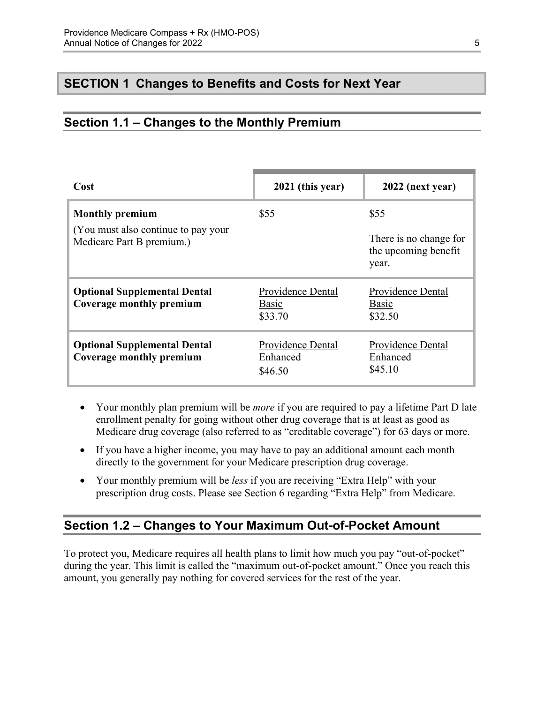# <span id="page-7-0"></span>**SECTION 1 Changes to Benefits and Costs for Next Year**

# <span id="page-7-1"></span>**Section 1.1 – Changes to the Monthly Premium**

| Cost                                                              | 2021 (this year)                         | 2022 (next year)                                        |
|-------------------------------------------------------------------|------------------------------------------|---------------------------------------------------------|
| <b>Monthly premium</b>                                            | \$55                                     | \$55                                                    |
| (You must also continue to pay your)<br>Medicare Part B premium.) |                                          | There is no change for<br>the upcoming benefit<br>year. |
| <b>Optional Supplemental Dental</b><br>Coverage monthly premium   | Providence Dental<br>Basic<br>\$33.70    | Providence Dental<br>Basic<br>\$32.50                   |
| <b>Optional Supplemental Dental</b><br>Coverage monthly premium   | Providence Dental<br>Enhanced<br>\$46.50 | Providence Dental<br>Enhanced<br>\$45.10                |

- Your monthly plan premium will be *more* if you are required to pay a lifetime Part D late enrollment penalty for going without other drug coverage that is at least as good as Medicare drug coverage (also referred to as "creditable coverage") for 63 days or more.
- If you have a higher income, you may have to pay an additional amount each month directly to the government for your Medicare prescription drug coverage.
- Your monthly premium will be *less* if you are receiving "Extra Help" with your prescription drug costs. Please see Section 6 regarding "Extra Help" from Medicare.

### <span id="page-7-2"></span>**Section 1.2 – Changes to Your Maximum Out-of-Pocket Amount**

 amount, you generally pay nothing for covered services for the rest of the year. To protect you, Medicare requires all health plans to limit how much you pay "out-of-pocket" during the year. This limit is called the "maximum out-of-pocket amount." Once you reach this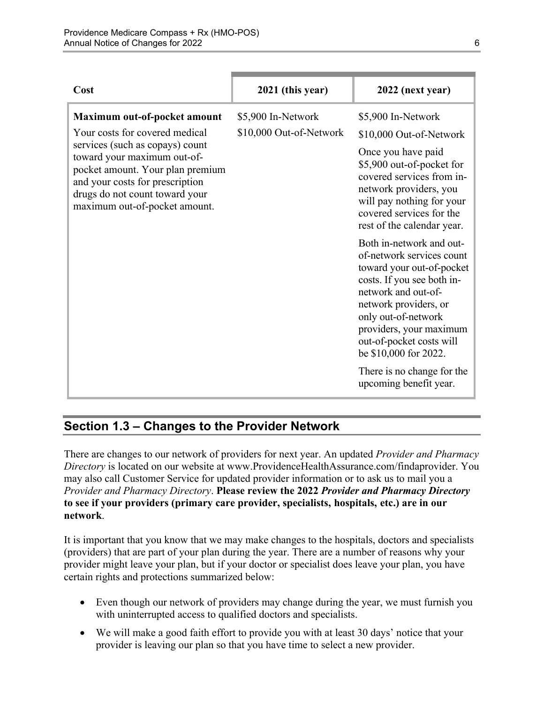| Cost                                                                                                                                                                                                                                                                       | 2021 (this year)                              | 2022 (next year)                                                                                                                                                                                                                                                                                                                |
|----------------------------------------------------------------------------------------------------------------------------------------------------------------------------------------------------------------------------------------------------------------------------|-----------------------------------------------|---------------------------------------------------------------------------------------------------------------------------------------------------------------------------------------------------------------------------------------------------------------------------------------------------------------------------------|
| Maximum out-of-pocket amount<br>Your costs for covered medical<br>services (such as copays) count<br>toward your maximum out-of-<br>pocket amount. Your plan premium<br>and your costs for prescription<br>drugs do not count toward your<br>maximum out-of-pocket amount. | \$5,900 In-Network<br>\$10,000 Out-of-Network | \$5,900 In-Network<br>\$10,000 Out-of-Network<br>Once you have paid<br>\$5,900 out-of-pocket for<br>covered services from in-<br>network providers, you<br>will pay nothing for your<br>covered services for the<br>rest of the calendar year.                                                                                  |
|                                                                                                                                                                                                                                                                            |                                               | Both in-network and out-<br>of-network services count<br>toward your out-of-pocket<br>costs. If you see both in-<br>network and out-of-<br>network providers, or<br>only out-of-network<br>providers, your maximum<br>out-of-pocket costs will<br>be \$10,000 for 2022.<br>There is no change for the<br>upcoming benefit year. |

# <span id="page-8-0"></span>**Section 1.3 – Changes to the Provider Network**

 **to see if your providers (primary care provider, specialists, hospitals, etc.) are in our**  There are changes to our network of providers for next year. An updated *Provider and Pharmacy Directory* is located on our website at [www.ProvidenceHealthAssurance.com/findaprovider.](http://www.ProvidenceHealthAssurance.com/findaprovider) You may also call Customer Service for updated provider information or to ask us to mail you a *Provider and Pharmacy Directory*. **Please review the 2022** *Provider and Pharmacy Directory*  **network**.

It is important that you know that we may make changes to the hospitals, doctors and specialists (providers) that are part of your plan during the year. There are a number of reasons why your provider might leave your plan, but if your doctor or specialist does leave your plan, you have certain rights and protections summarized below:

- Even though our network of providers may change during the year, we must furnish you with uninterrupted access to qualified doctors and specialists.
- We will make a good faith effort to provide you with at least 30 days' notice that your provider is leaving our plan so that you have time to select a new provider.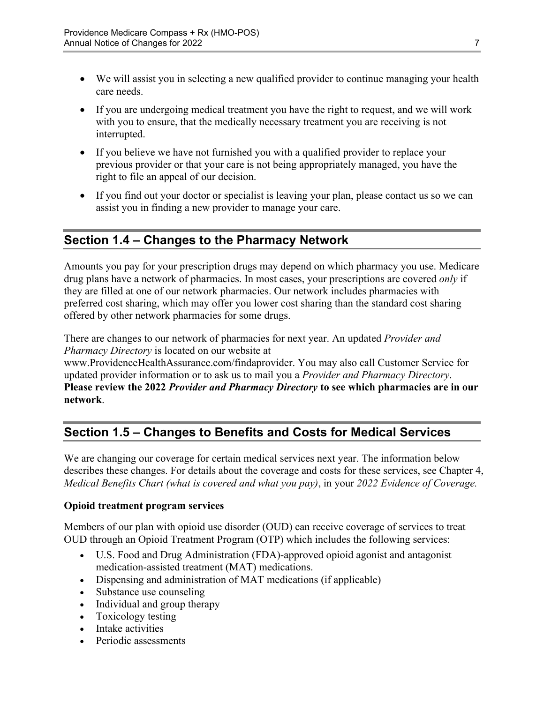- We will assist you in selecting a new qualified provider to continue managing your health care needs.
- If you are undergoing medical treatment you have the right to request, and we will work with you to ensure, that the medically necessary treatment you are receiving is not interrupted.
- If you believe we have not furnished you with a qualified provider to replace your previous provider or that your care is not being appropriately managed, you have the right to file an appeal of our decision.
- If you find out your doctor or specialist is leaving your plan, please contact us so we can assist you in finding a new provider to manage your care.

# <span id="page-9-0"></span>**Section 1.4 – Changes to the Pharmacy Network**

Amounts you pay for your prescription drugs may depend on which pharmacy you use. Medicare drug plans have a network of pharmacies. In most cases, your prescriptions are covered *only* if they are filled at one of our network pharmacies. Our network includes pharmacies with preferred cost sharing, which may offer you lower cost sharing than the standard cost sharing offered by other network pharmacies for some drugs.

There are changes to our network of pharmacies for next year. An updated *Provider and Pharmacy Directory* is located on our website at

[www.ProvidenceHealthAssurance.com/findaprovider.](http://www.ProvidenceHealthAssurance.com/findaprovider) You may also call Customer Service for updated provider information or to ask us to mail you a *Provider and Pharmacy Directory*. **Please review the 2022** *Provider and Pharmacy Directory* **to see which pharmacies are in our network**.

# <span id="page-9-1"></span>**Section 1.5 – Changes to Benefits and Costs for Medical Services**

We are changing our coverage for certain medical services next year. The information below describes these changes. For details about the coverage and costs for these services, see Chapter 4, *Medical Benefits Chart (what is covered and what you pay)*, in your *2022 Evidence of Coverage.* 

### **Opioid treatment program services**

Members of our plan with opioid use disorder (OUD) can receive coverage of services to treat OUD through an Opioid Treatment Program (OTP) which includes the following services:

- U.S. Food and Drug Administration (FDA)-approved opioid agonist and antagonist medication-assisted treatment (MAT) medications.
- Dispensing and administration of MAT medications (if applicable)
- Substance use counseling
- Individual and group therapy
- Toxicology testing
- Intake activities
- Periodic assessments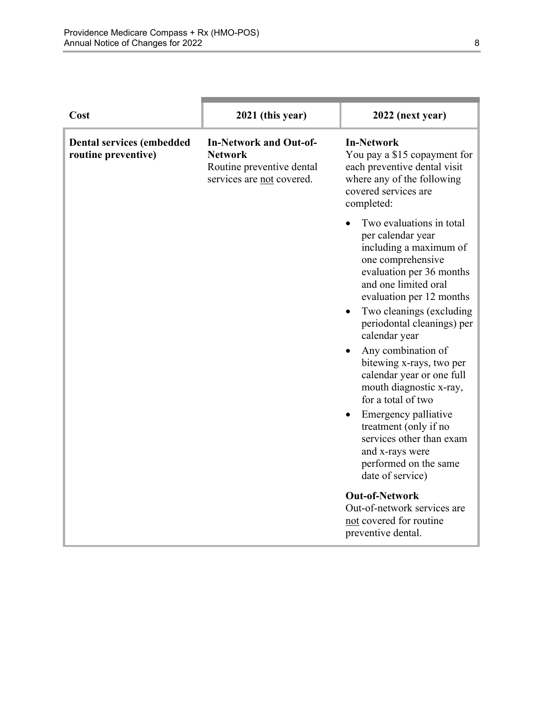| Cost                                                    | 2021 (this year)                                                                                          | 2022 (next year)                                                                                                                                                                                                                                                                                                                                                                                                                                                                                                                      |
|---------------------------------------------------------|-----------------------------------------------------------------------------------------------------------|---------------------------------------------------------------------------------------------------------------------------------------------------------------------------------------------------------------------------------------------------------------------------------------------------------------------------------------------------------------------------------------------------------------------------------------------------------------------------------------------------------------------------------------|
| <b>Dental services (embedded</b><br>routine preventive) | <b>In-Network and Out-of-</b><br><b>Network</b><br>Routine preventive dental<br>services are not covered. | <b>In-Network</b><br>You pay a \$15 copayment for<br>each preventive dental visit<br>where any of the following<br>covered services are<br>completed:                                                                                                                                                                                                                                                                                                                                                                                 |
|                                                         |                                                                                                           | Two evaluations in total<br>per calendar year<br>including a maximum of<br>one comprehensive<br>evaluation per 36 months<br>and one limited oral<br>evaluation per 12 months<br>Two cleanings (excluding)<br>periodontal cleanings) per<br>calendar year<br>Any combination of<br>bitewing x-rays, two per<br>calendar year or one full<br>mouth diagnostic x-ray,<br>for a total of two<br>Emergency palliative<br>treatment (only if no<br>services other than exam<br>and x-rays were<br>performed on the same<br>date of service) |
|                                                         |                                                                                                           | <b>Out-of-Network</b><br>Out-of-network services are<br>not covered for routine<br>preventive dental.                                                                                                                                                                                                                                                                                                                                                                                                                                 |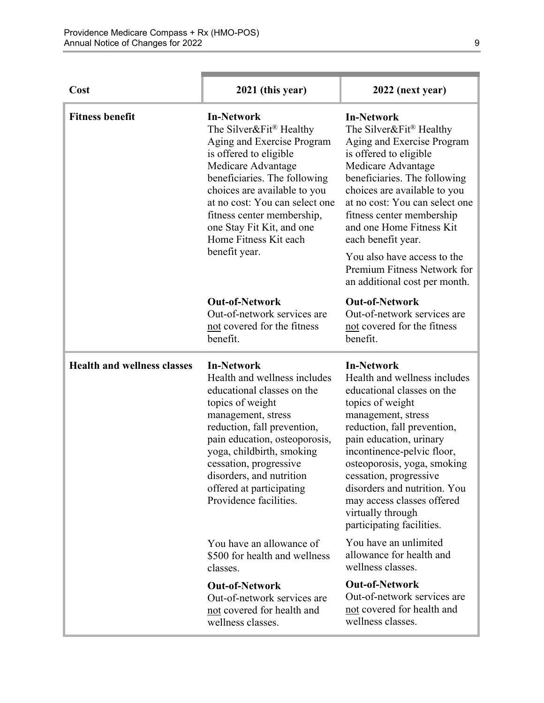| Cost                               | 2021 (this year)                                                                                                                                                                                                                                                                                                                              | 2022 (next year)                                                                                                                                                                                                                                                                                                                                                                           |
|------------------------------------|-----------------------------------------------------------------------------------------------------------------------------------------------------------------------------------------------------------------------------------------------------------------------------------------------------------------------------------------------|--------------------------------------------------------------------------------------------------------------------------------------------------------------------------------------------------------------------------------------------------------------------------------------------------------------------------------------------------------------------------------------------|
| <b>Fitness benefit</b>             | <b>In-Network</b><br>The Silver&Fit <sup>®</sup> Healthy<br>Aging and Exercise Program<br>is offered to eligible<br>Medicare Advantage<br>beneficiaries. The following<br>choices are available to you<br>at no cost: You can select one<br>fitness center membership,<br>one Stay Fit Kit, and one<br>Home Fitness Kit each<br>benefit year. | <b>In-Network</b><br>The Silver&Fit <sup>®</sup> Healthy<br>Aging and Exercise Program<br>is offered to eligible<br>Medicare Advantage<br>beneficiaries. The following<br>choices are available to you<br>at no cost: You can select one<br>fitness center membership<br>and one Home Fitness Kit<br>each benefit year.                                                                    |
|                                    |                                                                                                                                                                                                                                                                                                                                               | You also have access to the<br>Premium Fitness Network for<br>an additional cost per month.                                                                                                                                                                                                                                                                                                |
|                                    | <b>Out-of-Network</b><br>Out-of-network services are<br>not covered for the fitness<br>benefit.                                                                                                                                                                                                                                               | <b>Out-of-Network</b><br>Out-of-network services are<br>not covered for the fitness<br>benefit.                                                                                                                                                                                                                                                                                            |
| <b>Health and wellness classes</b> | <b>In-Network</b><br>Health and wellness includes<br>educational classes on the<br>topics of weight<br>management, stress<br>reduction, fall prevention,<br>pain education, osteoporosis,<br>yoga, childbirth, smoking<br>cessation, progressive<br>disorders, and nutrition<br>offered at participating<br>Providence facilities.            | <b>In-Network</b><br>Health and wellness includes<br>educational classes on the<br>topics of weight<br>management, stress<br>reduction, fall prevention,<br>pain education, urinary<br>incontinence-pelvic floor,<br>osteoporosis, yoga, smoking<br>cessation, progressive<br>disorders and nutrition. You<br>may access classes offered<br>virtually through<br>participating facilities. |
|                                    | You have an allowance of<br>\$500 for health and wellness<br>classes.                                                                                                                                                                                                                                                                         | You have an unlimited<br>allowance for health and<br>wellness classes.                                                                                                                                                                                                                                                                                                                     |
|                                    | <b>Out-of-Network</b><br>Out-of-network services are<br>not covered for health and<br>wellness classes.                                                                                                                                                                                                                                       | <b>Out-of-Network</b><br>Out-of-network services are<br>not covered for health and<br>wellness classes.                                                                                                                                                                                                                                                                                    |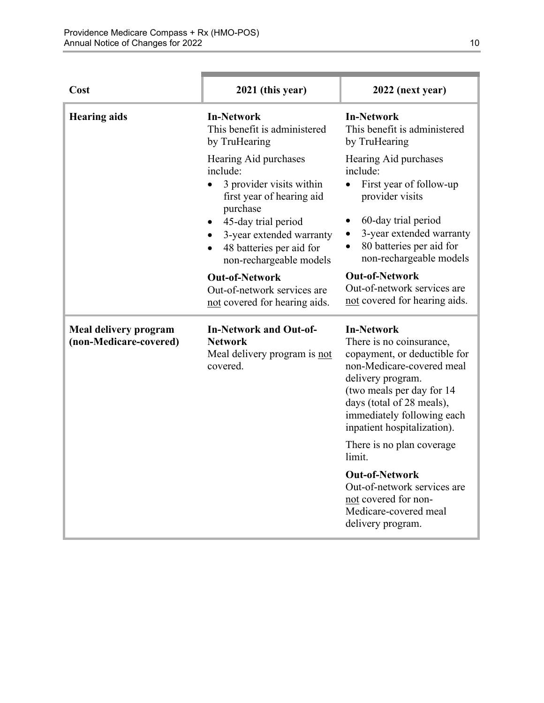| Cost                                                   | 2021 (this year)                                                                                                                 | 2022 (next year)                                                                                                                                                                                                                                       |
|--------------------------------------------------------|----------------------------------------------------------------------------------------------------------------------------------|--------------------------------------------------------------------------------------------------------------------------------------------------------------------------------------------------------------------------------------------------------|
| <b>Hearing aids</b>                                    | <b>In-Network</b><br>This benefit is administered<br>by TruHearing                                                               | <b>In-Network</b><br>This benefit is administered<br>by TruHearing                                                                                                                                                                                     |
|                                                        | Hearing Aid purchases<br>include:<br>3 provider visits within<br>$\bullet$<br>first year of hearing aid<br>purchase              | Hearing Aid purchases<br>include:<br>First year of follow-up<br>$\bullet$<br>provider visits                                                                                                                                                           |
|                                                        | 45-day trial period<br>$\bullet$<br>3-year extended warranty<br>48 batteries per aid for<br>$\bullet$<br>non-rechargeable models | 60-day trial period<br>٠<br>3-year extended warranty<br>$\bullet$<br>80 batteries per aid for<br>$\bullet$<br>non-rechargeable models                                                                                                                  |
|                                                        | <b>Out-of-Network</b><br>Out-of-network services are<br>not covered for hearing aids.                                            | <b>Out-of-Network</b><br>Out-of-network services are<br>not covered for hearing aids.                                                                                                                                                                  |
| <b>Meal delivery program</b><br>(non-Medicare-covered) | <b>In-Network and Out-of-</b><br><b>Network</b><br>Meal delivery program is not<br>covered.                                      | <b>In-Network</b><br>There is no coinsurance,<br>copayment, or deductible for<br>non-Medicare-covered meal<br>delivery program.<br>(two meals per day for 14<br>days (total of 28 meals),<br>immediately following each<br>inpatient hospitalization). |
|                                                        |                                                                                                                                  | There is no plan coverage<br>limit.                                                                                                                                                                                                                    |
|                                                        |                                                                                                                                  | <b>Out-of-Network</b><br>Out-of-network services are<br>not covered for non-<br>Medicare-covered meal<br>delivery program.                                                                                                                             |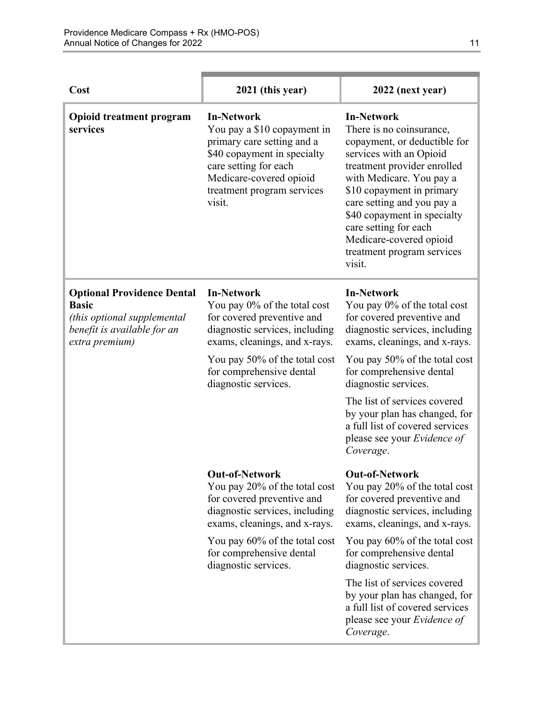| Cost                                                                                                                              | 2021 (this year)                                                                                                                                                                                                                        | 2022 (next year)                                                                                                                                                                                                                                                                                                                                                                               |
|-----------------------------------------------------------------------------------------------------------------------------------|-----------------------------------------------------------------------------------------------------------------------------------------------------------------------------------------------------------------------------------------|------------------------------------------------------------------------------------------------------------------------------------------------------------------------------------------------------------------------------------------------------------------------------------------------------------------------------------------------------------------------------------------------|
| <b>Opioid treatment program</b><br>services                                                                                       | <b>In-Network</b><br>You pay a \$10 copayment in<br>primary care setting and a<br>\$40 copayment in specialty<br>care setting for each<br>Medicare-covered opioid<br>treatment program services<br>visit.                               | <b>In-Network</b><br>There is no coinsurance,<br>copayment, or deductible for<br>services with an Opioid<br>treatment provider enrolled<br>with Medicare. You pay a<br>\$10 copayment in primary<br>care setting and you pay a<br>\$40 copayment in specialty<br>care setting for each<br>Medicare-covered opioid<br>treatment program services<br>visit.                                      |
| <b>Optional Providence Dental</b><br><b>Basic</b><br>(this optional supplemental<br>benefit is available for an<br>extra premium) | <b>In-Network</b><br>You pay 0% of the total cost<br>for covered preventive and<br>diagnostic services, including<br>exams, cleanings, and x-rays.<br>You pay 50% of the total cost<br>for comprehensive dental<br>diagnostic services. | <b>In-Network</b><br>You pay 0% of the total cost<br>for covered preventive and<br>diagnostic services, including<br>exams, cleanings, and x-rays.<br>You pay 50% of the total cost<br>for comprehensive dental<br>diagnostic services.<br>The list of services covered<br>by your plan has changed, for<br>a full list of covered services<br>please see your <i>Evidence of</i><br>Coverage. |
|                                                                                                                                   | <b>Out-of-Network</b><br>You pay 20% of the total cost<br>for covered preventive and<br>diagnostic services, including<br>exams, cleanings, and x-rays.                                                                                 | <b>Out-of-Network</b><br>You pay 20% of the total cost<br>for covered preventive and<br>diagnostic services, including<br>exams, cleanings, and x-rays.                                                                                                                                                                                                                                        |
|                                                                                                                                   | You pay 60% of the total cost<br>for comprehensive dental<br>diagnostic services.                                                                                                                                                       | You pay 60% of the total cost<br>for comprehensive dental<br>diagnostic services.                                                                                                                                                                                                                                                                                                              |
|                                                                                                                                   |                                                                                                                                                                                                                                         | The list of services covered<br>by your plan has changed, for<br>a full list of covered services<br>please see your Evidence of<br>Coverage.                                                                                                                                                                                                                                                   |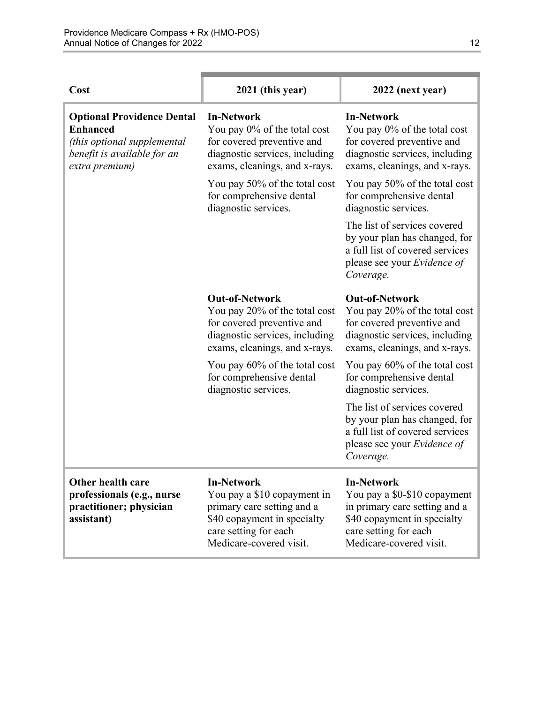| Cost                                                                                                                                 | 2021 (this year)                                                                                                                                                  | 2022 (next year)                                                                                                                                                      |
|--------------------------------------------------------------------------------------------------------------------------------------|-------------------------------------------------------------------------------------------------------------------------------------------------------------------|-----------------------------------------------------------------------------------------------------------------------------------------------------------------------|
| <b>Optional Providence Dental</b><br><b>Enhanced</b><br>(this optional supplemental<br>benefit is available for an<br>extra premium) | <b>In-Network</b><br>You pay 0% of the total cost<br>for covered preventive and<br>diagnostic services, including<br>exams, cleanings, and x-rays.                | <b>In-Network</b><br>You pay 0% of the total cost<br>for covered preventive and<br>diagnostic services, including<br>exams, cleanings, and x-rays.                    |
|                                                                                                                                      | You pay 50% of the total cost<br>for comprehensive dental<br>diagnostic services.                                                                                 | You pay 50% of the total cost<br>for comprehensive dental<br>diagnostic services.                                                                                     |
|                                                                                                                                      |                                                                                                                                                                   | The list of services covered<br>by your plan has changed, for<br>a full list of covered services<br>please see your <i>Evidence of</i><br>Coverage.                   |
|                                                                                                                                      | <b>Out-of-Network</b><br>You pay 20% of the total cost<br>for covered preventive and<br>diagnostic services, including<br>exams, cleanings, and x-rays.           | <b>Out-of-Network</b><br>You pay 20% of the total cost<br>for covered preventive and<br>diagnostic services, including<br>exams, cleanings, and x-rays.               |
|                                                                                                                                      | You pay 60% of the total cost<br>for comprehensive dental<br>diagnostic services.                                                                                 | You pay 60% of the total cost<br>for comprehensive dental<br>diagnostic services.                                                                                     |
|                                                                                                                                      |                                                                                                                                                                   | The list of services covered<br>by your plan has changed, for<br>a full list of covered services<br>please see your Evidence of<br>Coverage.                          |
| Other health care<br>professionals (e.g., nurse<br>practitioner; physician<br>assistant)                                             | <b>In-Network</b><br>You pay a \$10 copayment in<br>primary care setting and a<br>\$40 copayment in specialty<br>care setting for each<br>Medicare-covered visit. | <b>In-Network</b><br>You pay a \$0-\$10 copayment<br>in primary care setting and a<br>\$40 copayment in specialty<br>care setting for each<br>Medicare-covered visit. |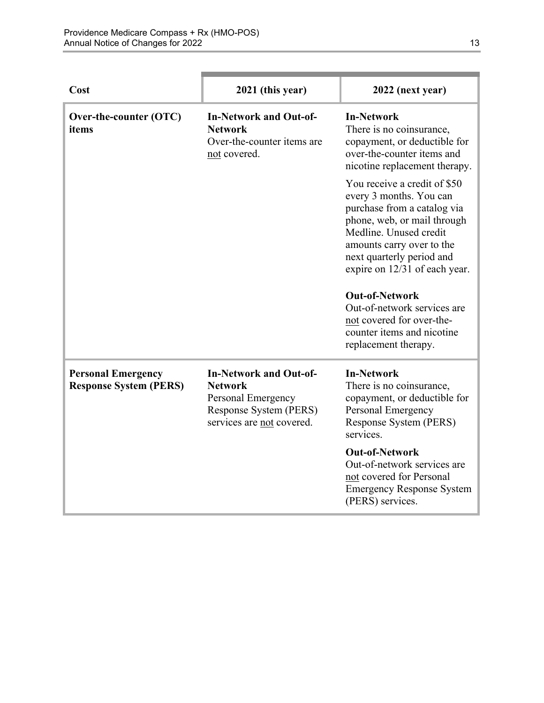| Cost                                                       | 2021 (this year)                                                                                                             | 2022 (next year)                                                                                                                                                                                                                                                                                                                                                                      |
|------------------------------------------------------------|------------------------------------------------------------------------------------------------------------------------------|---------------------------------------------------------------------------------------------------------------------------------------------------------------------------------------------------------------------------------------------------------------------------------------------------------------------------------------------------------------------------------------|
| Over-the-counter (OTC)<br>items                            | <b>In-Network and Out-of-</b><br><b>Network</b><br>Over-the-counter items are<br>not covered.                                | <b>In-Network</b><br>There is no coinsurance,<br>copayment, or deductible for<br>over-the-counter items and<br>nicotine replacement therapy.                                                                                                                                                                                                                                          |
|                                                            |                                                                                                                              | You receive a credit of \$50<br>every 3 months. You can<br>purchase from a catalog via<br>phone, web, or mail through<br>Medline. Unused credit<br>amounts carry over to the<br>next quarterly period and<br>expire on 12/31 of each year.<br><b>Out-of-Network</b><br>Out-of-network services are<br>not covered for over-the-<br>counter items and nicotine<br>replacement therapy. |
| <b>Personal Emergency</b><br><b>Response System (PERS)</b> | <b>In-Network and Out-of-</b><br><b>Network</b><br>Personal Emergency<br>Response System (PERS)<br>services are not covered. | <b>In-Network</b><br>There is no coinsurance,<br>copayment, or deductible for<br>Personal Emergency<br>Response System (PERS)<br>services.<br><b>Out-of-Network</b><br>Out-of-network services are<br>not covered for Personal<br><b>Emergency Response System</b><br>(PERS) services.                                                                                                |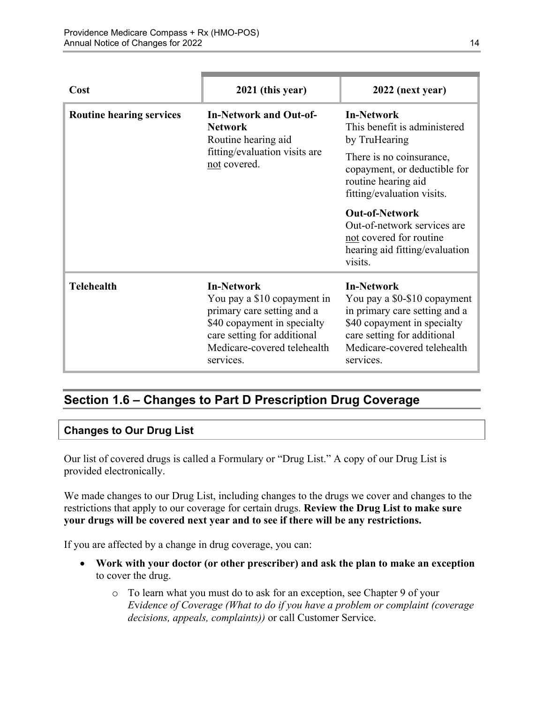| Cost                            | 2021 (this year)                                                                                                                                                                         | 2022 (next year)                                                                                                                                                                             |
|---------------------------------|------------------------------------------------------------------------------------------------------------------------------------------------------------------------------------------|----------------------------------------------------------------------------------------------------------------------------------------------------------------------------------------------|
| <b>Routine hearing services</b> | <b>In-Network and Out-of-</b><br><b>Network</b><br>Routine hearing aid<br>fitting/evaluation visits are<br>not covered.                                                                  | <b>In-Network</b><br>This benefit is administered<br>by TruHearing                                                                                                                           |
|                                 |                                                                                                                                                                                          | There is no coinsurance,<br>copayment, or deductible for<br>routine hearing aid<br>fitting/evaluation visits.                                                                                |
|                                 |                                                                                                                                                                                          | <b>Out-of-Network</b><br>Out-of-network services are<br>not covered for routine<br>hearing aid fitting/evaluation<br>visits.                                                                 |
| <b>Telehealth</b>               | <b>In-Network</b><br>You pay a \$10 copayment in<br>primary care setting and a<br>\$40 copayment in specialty<br>care setting for additional<br>Medicare-covered telehealth<br>services. | <b>In-Network</b><br>You pay a \$0-\$10 copayment<br>in primary care setting and a<br>\$40 copayment in specialty<br>care setting for additional<br>Medicare-covered telehealth<br>services. |

# <span id="page-16-0"></span>**Section 1.6 – Changes to Part D Prescription Drug Coverage**

### **Changes to Our Drug List**

Our list of covered drugs is called a Formulary or "Drug List." A copy of our Drug List is provided electronically.

We made changes to our Drug List, including changes to the drugs we cover and changes to the restrictions that apply to our coverage for certain drugs. **Review the Drug List to make sure your drugs will be covered next year and to see if there will be any restrictions.** 

If you are affected by a change in drug coverage, you can:

- **Work with your doctor (or other prescriber) and ask the plan to make an exception**  to cover the drug.
	- o To learn what you must do to ask for an exception, see Chapter 9 of your *E*v*idence of Coverage (What to do if you have a problem or complaint (coverage decisions, appeals, complaints))* or call Customer Service.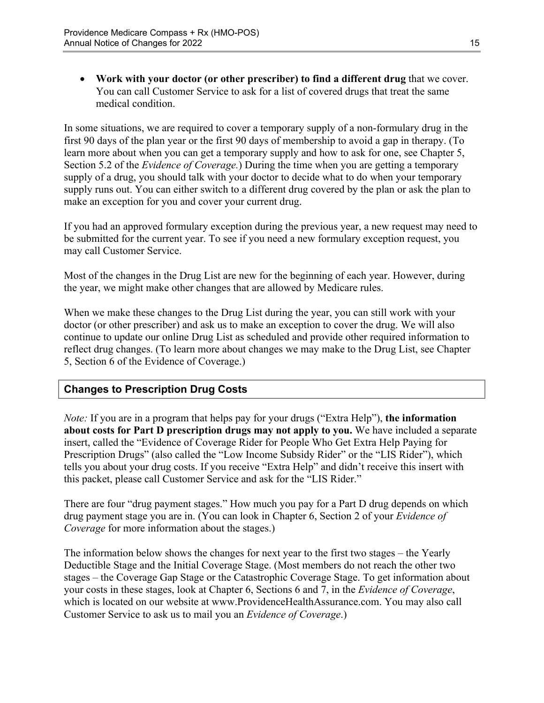**Work with your doctor (or other prescriber) to find a different drug** that we cover. You can call Customer Service to ask for a list of covered drugs that treat the same medical condition.

 Section 5.2 of the *Evidence of Coverage.*) During the time when you are getting a temporary In some situations, we are required to cover a temporary supply of a non-formulary drug in the first 90 days of the plan year or the first 90 days of membership to avoid a gap in therapy. (To learn more about when you can get a temporary supply and how to ask for one, see Chapter 5, supply of a drug, you should talk with your doctor to decide what to do when your temporary supply runs out. You can either switch to a different drug covered by the plan or ask the plan to make an exception for you and cover your current drug.

If you had an approved formulary exception during the previous year, a new request may need to be submitted for the current year. To see if you need a new formulary exception request, you may call Customer Service.

Most of the changes in the Drug List are new for the beginning of each year. However, during the year, we might make other changes that are allowed by Medicare rules.

When we make these changes to the Drug List during the year, you can still work with your doctor (or other prescriber) and ask us to make an exception to cover the drug. We will also continue to update our online Drug List as scheduled and provide other required information to reflect drug changes. (To learn more about changes we may make to the Drug List, see Chapter 5, Section 6 of the Evidence of Coverage.)

### **Changes to Prescription Drug Costs**

*Note:* If you are in a program that helps pay for your drugs ("Extra Help"), **the information about costs for Part D prescription drugs may not apply to you.** We have included a separate insert, called the "Evidence of Coverage Rider for People Who Get Extra Help Paying for Prescription Drugs" (also called the "Low Income Subsidy Rider" or the "LIS Rider"), which tells you about your drug costs. If you receive "Extra Help" and didn't receive this insert with this packet, please call Customer Service and ask for the "LIS Rider."

There are four "drug payment stages." How much you pay for a Part D drug depends on which drug payment stage you are in. (You can look in Chapter 6, Section 2 of your *Evidence of Coverage* for more information about the stages.)

The information below shows the changes for next year to the first two stages – the Yearly Deductible Stage and the Initial Coverage Stage. (Most members do not reach the other two stages – the Coverage Gap Stage or the Catastrophic Coverage Stage. To get information about your costs in these stages, look at Chapter 6, Sections 6 and 7, in the *Evidence of Coverage*, which is located on our website at [www.ProvidenceHealthAssurance.com](http://www.ProvidenceHealthAssurance.com). You may also call Customer Service to ask us to mail you an *Evidence of Coverage*.)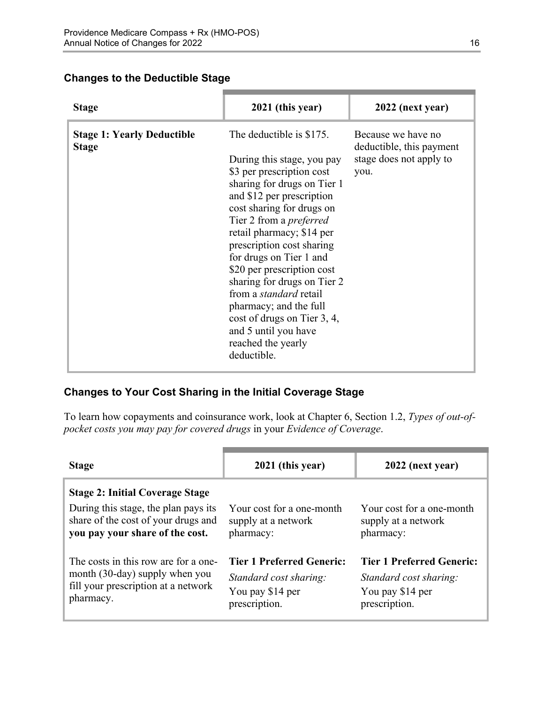#### **Changes to the Deductible Stage**

| <b>Stage</b>                                      | 2021 (this year)                                                                                                                                                                                                                                                                                                                                                                                                                                                                                                        | 2022 (next year)                                                                  |
|---------------------------------------------------|-------------------------------------------------------------------------------------------------------------------------------------------------------------------------------------------------------------------------------------------------------------------------------------------------------------------------------------------------------------------------------------------------------------------------------------------------------------------------------------------------------------------------|-----------------------------------------------------------------------------------|
| <b>Stage 1: Yearly Deductible</b><br><b>Stage</b> | The deductible is \$175.<br>During this stage, you pay<br>\$3 per prescription cost<br>sharing for drugs on Tier 1<br>and \$12 per prescription<br>cost sharing for drugs on<br>Tier 2 from a <i>preferred</i><br>retail pharmacy; \$14 per<br>prescription cost sharing<br>for drugs on Tier 1 and<br>\$20 per prescription cost<br>sharing for drugs on Tier 2<br>from a <i>standard</i> retail<br>pharmacy; and the full<br>cost of drugs on Tier 3, 4,<br>and 5 until you have<br>reached the yearly<br>deductible. | Because we have no<br>deductible, this payment<br>stage does not apply to<br>you. |

### **Changes to Your Cost Sharing in the Initial Coverage Stage**

To learn how copayments and coinsurance work, look at Chapter 6, Section 1.2, *Types of out-ofpocket costs you may pay for covered drugs* in your *Evidence of Coverage*.

| <b>Stage</b>                                                                                                                                             | 2021 (this year)                                                                                | 2022 (next year)                                                                                |
|----------------------------------------------------------------------------------------------------------------------------------------------------------|-------------------------------------------------------------------------------------------------|-------------------------------------------------------------------------------------------------|
| <b>Stage 2: Initial Coverage Stage</b><br>During this stage, the plan pays its<br>share of the cost of your drugs and<br>you pay your share of the cost. | Your cost for a one-month<br>supply at a network<br>pharmacy:                                   | Your cost for a one-month<br>supply at a network<br>pharmacy:                                   |
| The costs in this row are for a one-<br>month (30-day) supply when you<br>fill your prescription at a network<br>pharmacy.                               | <b>Tier 1 Preferred Generic:</b><br>Standard cost sharing:<br>You pay \$14 per<br>prescription. | <b>Tier 1 Preferred Generic:</b><br>Standard cost sharing:<br>You pay \$14 per<br>prescription. |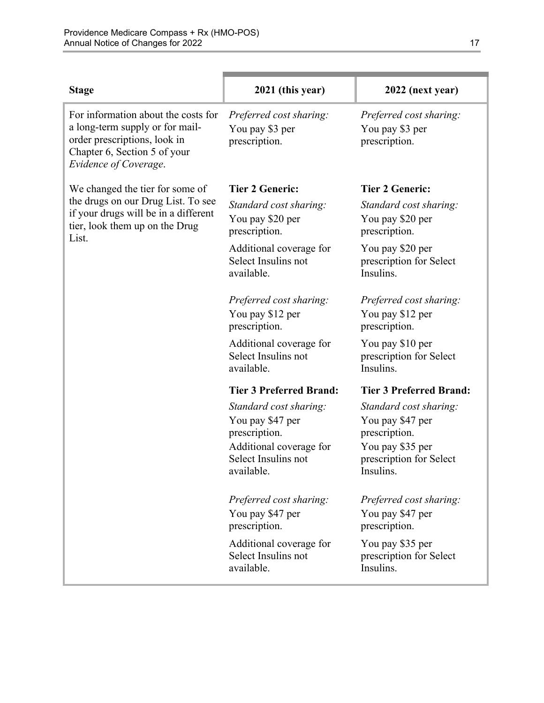| <b>Stage</b>                                                                                                                                                    | 2021 (this year)                                                                                                            | 2022 (next year)                                                                                                        |
|-----------------------------------------------------------------------------------------------------------------------------------------------------------------|-----------------------------------------------------------------------------------------------------------------------------|-------------------------------------------------------------------------------------------------------------------------|
| For information about the costs for<br>a long-term supply or for mail-<br>order prescriptions, look in<br>Chapter 6, Section 5 of your<br>Evidence of Coverage. | Preferred cost sharing:<br>You pay \$3 per<br>prescription.                                                                 | Preferred cost sharing:<br>You pay \$3 per<br>prescription.                                                             |
| We changed the tier for some of                                                                                                                                 | <b>Tier 2 Generic:</b>                                                                                                      | <b>Tier 2 Generic:</b>                                                                                                  |
| the drugs on our Drug List. To see<br>if your drugs will be in a different<br>tier, look them up on the Drug<br>List.                                           | Standard cost sharing:<br>You pay \$20 per<br>prescription.                                                                 | Standard cost sharing:<br>You pay \$20 per<br>prescription.                                                             |
|                                                                                                                                                                 | Additional coverage for<br>Select Insulins not<br>available.                                                                | You pay \$20 per<br>prescription for Select<br>Insulins.                                                                |
|                                                                                                                                                                 | Preferred cost sharing:<br>You pay \$12 per<br>prescription.                                                                | Preferred cost sharing:<br>You pay \$12 per<br>prescription.                                                            |
|                                                                                                                                                                 | Additional coverage for<br>Select Insulins not<br>available.                                                                | You pay \$10 per<br>prescription for Select<br>Insulins.                                                                |
|                                                                                                                                                                 | <b>Tier 3 Preferred Brand:</b>                                                                                              | <b>Tier 3 Preferred Brand:</b>                                                                                          |
|                                                                                                                                                                 | Standard cost sharing:<br>You pay \$47 per<br>prescription.<br>Additional coverage for<br>Select Insulins not<br>available. | Standard cost sharing:<br>You pay \$47 per<br>prescription.<br>You pay \$35 per<br>prescription for Select<br>Insulins. |
|                                                                                                                                                                 | Preferred cost sharing:<br>You pay \$47 per<br>prescription.                                                                | Preferred cost sharing:<br>You pay \$47 per<br>prescription.                                                            |
|                                                                                                                                                                 | Additional coverage for<br>Select Insulins not<br>available.                                                                | You pay \$35 per<br>prescription for Select<br>Insulins.                                                                |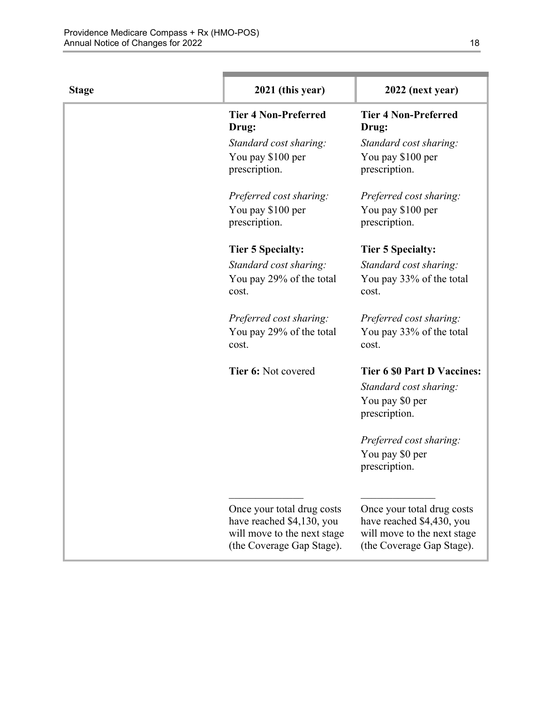| <b>Stage</b> | 2021 (this year)                                                                                                    | 2022 (next year)                                                                                                    |
|--------------|---------------------------------------------------------------------------------------------------------------------|---------------------------------------------------------------------------------------------------------------------|
|              | <b>Tier 4 Non-Preferred</b><br>Drug:                                                                                | <b>Tier 4 Non-Preferred</b><br>Drug:                                                                                |
|              | Standard cost sharing:                                                                                              | Standard cost sharing:                                                                                              |
|              | You pay \$100 per<br>prescription.                                                                                  | You pay \$100 per<br>prescription.                                                                                  |
|              | Preferred cost sharing:                                                                                             | Preferred cost sharing:                                                                                             |
|              | You pay \$100 per<br>prescription.                                                                                  | You pay \$100 per<br>prescription.                                                                                  |
|              | <b>Tier 5 Specialty:</b>                                                                                            | <b>Tier 5 Specialty:</b>                                                                                            |
|              | Standard cost sharing:                                                                                              | Standard cost sharing:                                                                                              |
|              | You pay 29% of the total<br>cost.                                                                                   | You pay 33% of the total<br>cost.                                                                                   |
|              | Preferred cost sharing:<br>You pay 29% of the total<br>cost.                                                        | Preferred cost sharing:<br>You pay 33% of the total<br>cost.                                                        |
|              | Tier 6: Not covered                                                                                                 | <b>Tier 6 \$0 Part D Vaccines:</b><br>Standard cost sharing:<br>You pay \$0 per<br>prescription.                    |
|              |                                                                                                                     | Preferred cost sharing:<br>You pay \$0 per<br>prescription.                                                         |
|              | Once your total drug costs<br>have reached \$4,130, you<br>will move to the next stage<br>(the Coverage Gap Stage). | Once your total drug costs<br>have reached \$4,430, you<br>will move to the next stage<br>(the Coverage Gap Stage). |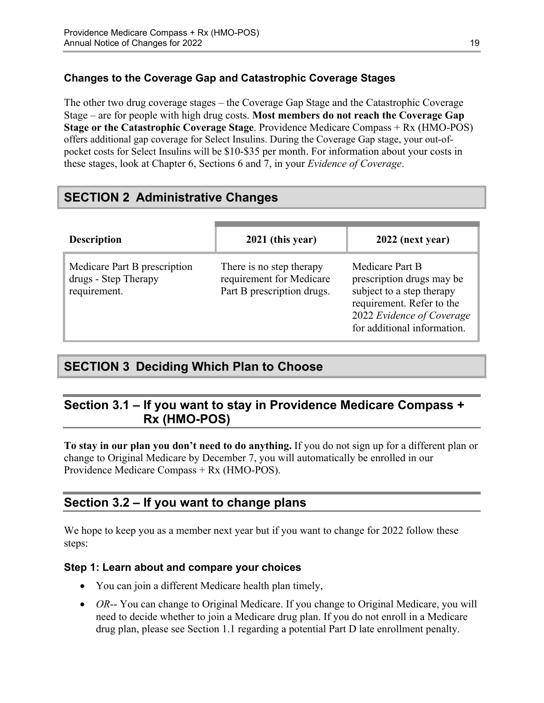### **Changes to the Coverage Gap and Catastrophic Coverage Stages**

The other two drug coverage stages – the Coverage Gap Stage and the Catastrophic Coverage Stage – are for people with high drug costs. **Most members do not reach the Coverage Gap Stage or the Catastrophic Coverage Stage**. Providence Medicare Compass + Rx (HMO-POS) offers additional gap coverage for Select Insulins. During the Coverage Gap stage, your out-ofpocket costs for Select Insulins will be \$10-\$35 per month. For information about your costs in these stages, look at Chapter 6, Sections 6 and 7, in your *Evidence of Coverage*.

# <span id="page-21-0"></span>**SECTION 2 Administrative Changes**

| <b>Description</b>                                                   | 2021 (this year)                                                                   | 2022 (next year)                                                                                                                                                   |
|----------------------------------------------------------------------|------------------------------------------------------------------------------------|--------------------------------------------------------------------------------------------------------------------------------------------------------------------|
| Medicare Part B prescription<br>drugs - Step Therapy<br>requirement. | There is no step therapy<br>requirement for Medicare<br>Part B prescription drugs. | Medicare Part B<br>prescription drugs may be<br>subject to a step therapy<br>requirement. Refer to the<br>2022 Evidence of Coverage<br>for additional information. |

# <span id="page-21-1"></span>**SECTION 3 Deciding Which Plan to Choose**

# <span id="page-21-2"></span>**Section 3.1 – If you want to stay in Providence Medicare Compass + Rx (HMO-POS)**

**To stay in our plan you don't need to do anything.** If you do not sign up for a different plan or change to Original Medicare by December 7, you will automatically be enrolled in our Providence Medicare Compass + Rx (HMO-POS).

### <span id="page-21-3"></span>**Section 3.2 – If you want to change plans**

We hope to keep you as a member next year but if you want to change for 2022 follow these steps:

### **Step 1: Learn about and compare your choices**

- You can join a different Medicare health plan timely,
- *OR*-- You can change to Original Medicare. If you change to Original Medicare, you will need to decide whether to join a Medicare drug plan. If you do not enroll in a Medicare drug plan, please see Section 1.1 regarding a potential Part D late enrollment penalty.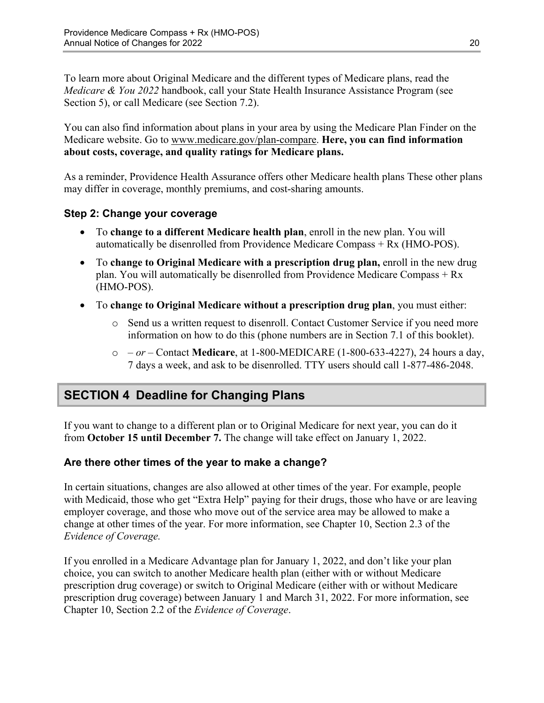To learn more about Original Medicare and the different types of Medicare plans, read the *Medicare & You 2022* handbook, call your State Health Insurance Assistance Program (see Section 5), or call Medicare (see Section 7.2).

You can also find information about plans in your area by using the Medicare Plan Finder on the Medicare website. Go to [www.medicare.gov/plan-compare](http://www.medicare.gov/plan-compare). **Here, you can find information about costs, coverage, and quality ratings for Medicare plans.** 

As a reminder, Providence Health Assurance offers other Medicare health plans These other plans may differ in coverage, monthly premiums, and cost-sharing amounts.

### **Step 2: Change your coverage**

- To **change to a different Medicare health plan**, enroll in the new plan. You will automatically be disenrolled from Providence Medicare Compass + Rx (HMO-POS).
- To **change to Original Medicare with a prescription drug plan,** enroll in the new drug plan. You will automatically be disenrolled from Providence Medicare Compass + Rx (HMO-POS).
- To **change to Original Medicare without a prescription drug plan**, you must either:
	- $\circ$  Send us a written request to disenroll. Contact Customer Service if you need more information on how to do this (phone numbers are in Section 7.1 of this booklet).
	- o  *or –* Contact **Medicare**, at 1-800-MEDICARE (1-800-633-4227), 24 hours a day, 7 days a week, and ask to be disenrolled. TTY users should call 1-877-486-2048.

# <span id="page-22-0"></span>**SECTION 4 Deadline for Changing Plans**

If you want to change to a different plan or to Original Medicare for next year, you can do it from **October 15 until December 7.** The change will take effect on January 1, 2022.

### **Are there other times of the year to make a change?**

In certain situations, changes are also allowed at other times of the year. For example, people with Medicaid, those who get "Extra Help" paying for their drugs, those who have or are leaving employer coverage, and those who move out of the service area may be allowed to make a change at other times of the year. For more information, see Chapter 10, Section 2.3 of the *Evidence of Coverage.* 

 Chapter 10, Section 2.2 of the *Evidence of Coverage*. If you enrolled in a Medicare Advantage plan for January 1, 2022, and don't like your plan choice, you can switch to another Medicare health plan (either with or without Medicare prescription drug coverage) or switch to Original Medicare (either with or without Medicare prescription drug coverage) between January 1 and March 31, 2022. For more information, see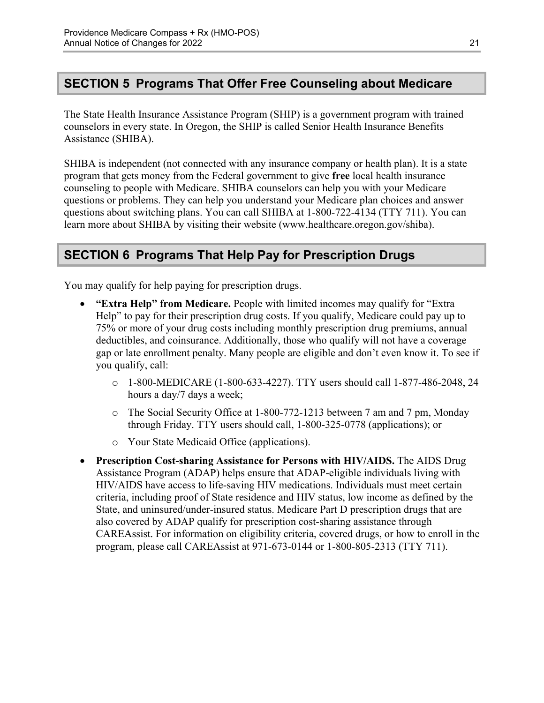# <span id="page-23-0"></span>**SECTION 5 Programs That Offer Free Counseling about Medicare**

The State Health Insurance Assistance Program (SHIP) is a government program with trained counselors in every state. In Oregon, the SHIP is called Senior Health Insurance Benefits Assistance (SHIBA).

 SHIBA is independent (not connected with any insurance company or health plan). It is a state program that gets money from the Federal government to give **free** local health insurance counseling to people with Medicare. SHIBA counselors can help you with your Medicare questions or problems. They can help you understand your Medicare plan choices and answer questions about switching plans. You can call SHIBA at 1-800-722-4134 (TTY 711). You can learn more about SHIBA by visiting their website ([www.healthcare.oregon.gov/shiba](http://healthcare.oregon.gov/shiba)).

# <span id="page-23-1"></span>**SECTION 6 Programs That Help Pay for Prescription Drugs**

You may qualify for help paying for prescription drugs.

- **"Extra Help" from Medicare.** People with limited incomes may qualify for "Extra Help" to pay for their prescription drug costs. If you qualify, Medicare could pay up to 75% or more of your drug costs including monthly prescription drug premiums, annual deductibles, and coinsurance. Additionally, those who qualify will not have a coverage gap or late enrollment penalty. Many people are eligible and don't even know it. To see if you qualify, call:
	- $\circ$  1-800-MEDICARE (1-800-633-4227). TTY users should call 1-877-486-2048, 24 hours a day/7 days a week;
	- $\circ$  The Social Security Office at 1-800-772-1213 between 7 am and 7 pm, Monday through Friday. TTY users should call, 1-800-325-0778 (applications); or
	- o Your State Medicaid Office (applications).
- **Prescription Cost-sharing Assistance for Persons with HIV/AIDS.** The AIDS Drug Assistance Program (ADAP) helps ensure that ADAP-eligible individuals living with HIV/AIDS have access to life-saving HIV medications. Individuals must meet certain criteria, including proof of State residence and HIV status, low income as defined by the State, and uninsured/under-insured status. Medicare Part D prescription drugs that are also covered by ADAP qualify for prescription cost-sharing assistance through CAREAssist. For information on eligibility criteria, covered drugs, or how to enroll in the program, please call CAREAssist at 971-673-0144 or 1-800-805-2313 (TTY 711).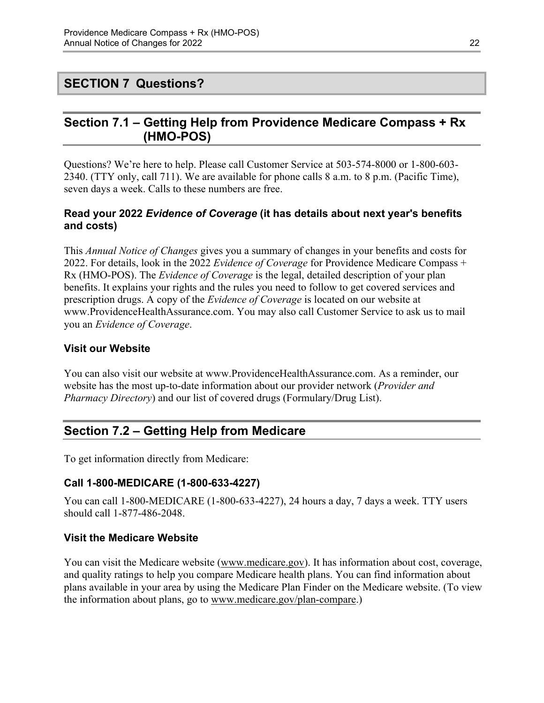# <span id="page-24-0"></span>**SECTION 7 Questions?**

# <span id="page-24-1"></span>**Section 7.1 – Getting Help from Providence Medicare Compass + Rx (HMO-POS)**

Questions? We're here to help. Please call Customer Service at 503-574-8000 or 1-800-603 2340. (TTY only, call 711). We are available for phone calls 8 a.m. to 8 p.m. (Pacific Time), seven days a week. Calls to these numbers are free.

### **Read your 2022** *Evidence of Coverage* **(it has details about next year's benefits and costs)**

This *Annual Notice of Changes* gives you a summary of changes in your benefits and costs for 2022. For details, look in the 2022 *Evidence of Coverage* for Providence Medicare Compass + Rx (HMO-POS). The *Evidence of Coverage* is the legal, detailed description of your plan benefits. It explains your rights and the rules you need to follow to get covered services and prescription drugs. A copy of the *Evidence of Coverage* is located on our website at [www.ProvidenceHealthAssurance.com.](http://www.ProvidenceHealthAssurance.com) You may also call Customer Service to ask us to mail you an *Evidence of Coverage*.

### **Visit our Website**

You can also visit our website at [www.ProvidenceHealthAssurance.com.](http://www.ProvidenceHealthAssurance.com) As a reminder, our website has the most up-to-date information about our provider network (*Provider and Pharmacy Directory*) and our list of covered drugs (Formulary/Drug List).

# <span id="page-24-2"></span>**Section 7.2 – Getting Help from Medicare**

To get information directly from Medicare:

### **Call 1-800-MEDICARE (1-800-633-4227)**

You can call 1-800-MEDICARE (1-800-633-4227), 24 hours a day, 7 days a week. TTY users should call 1-877-486-2048.

### **Visit the Medicare Website**

You can visit the Medicare website ([www.medicare.gov\)](http://www.medicare.gov/). It has information about cost, coverage, and quality ratings to help you compare Medicare health plans. You can find information about plans available in your area by using the Medicare Plan Finder on the Medicare website. (To view the information about plans, go to [www.medicare.gov/plan-compare.](http://www.medicare.gov/plan-compare))